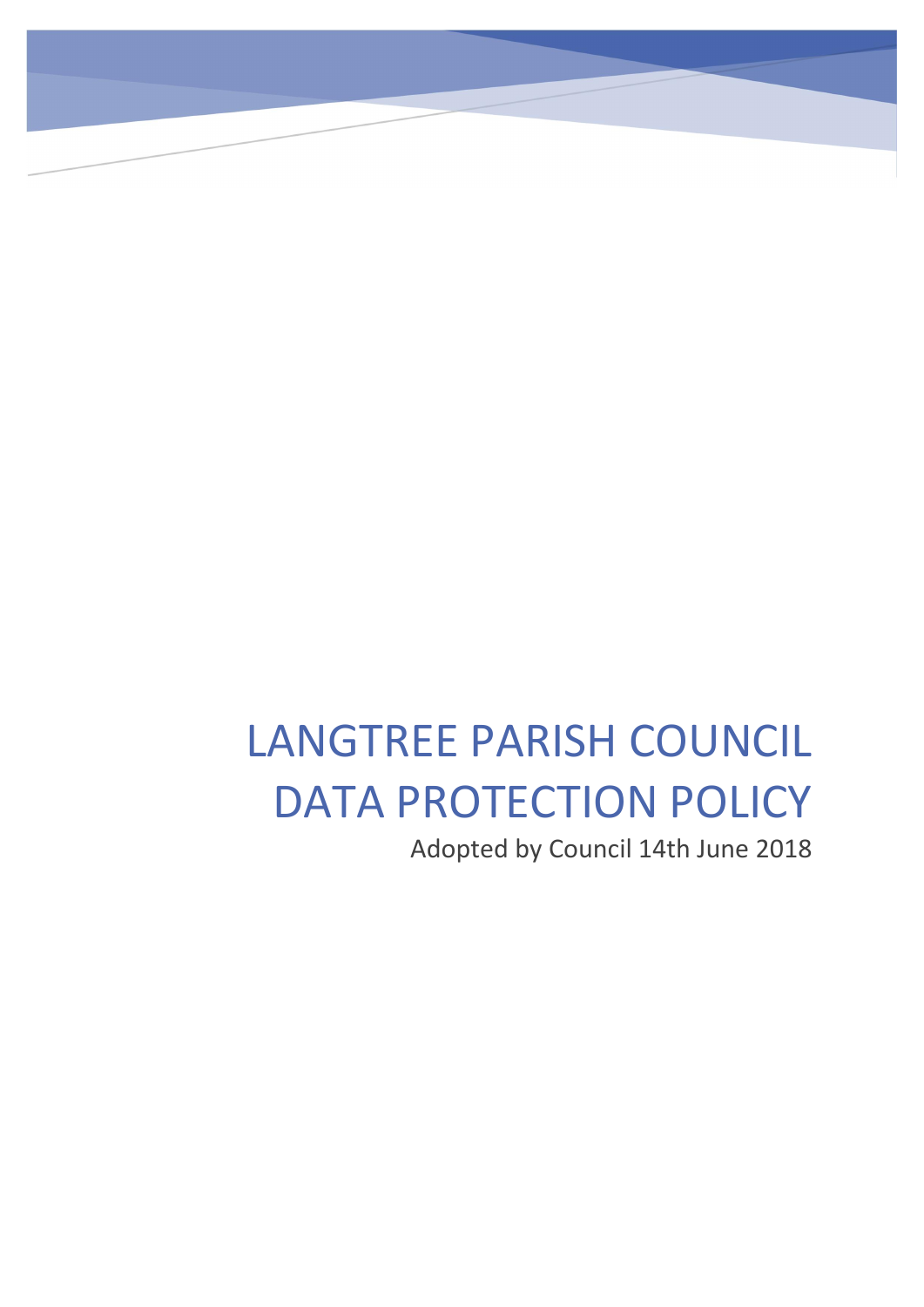# LANGTREE PARISH COUNCIL DATA PROTECTION POLICY Adopted by Council 14th June 2018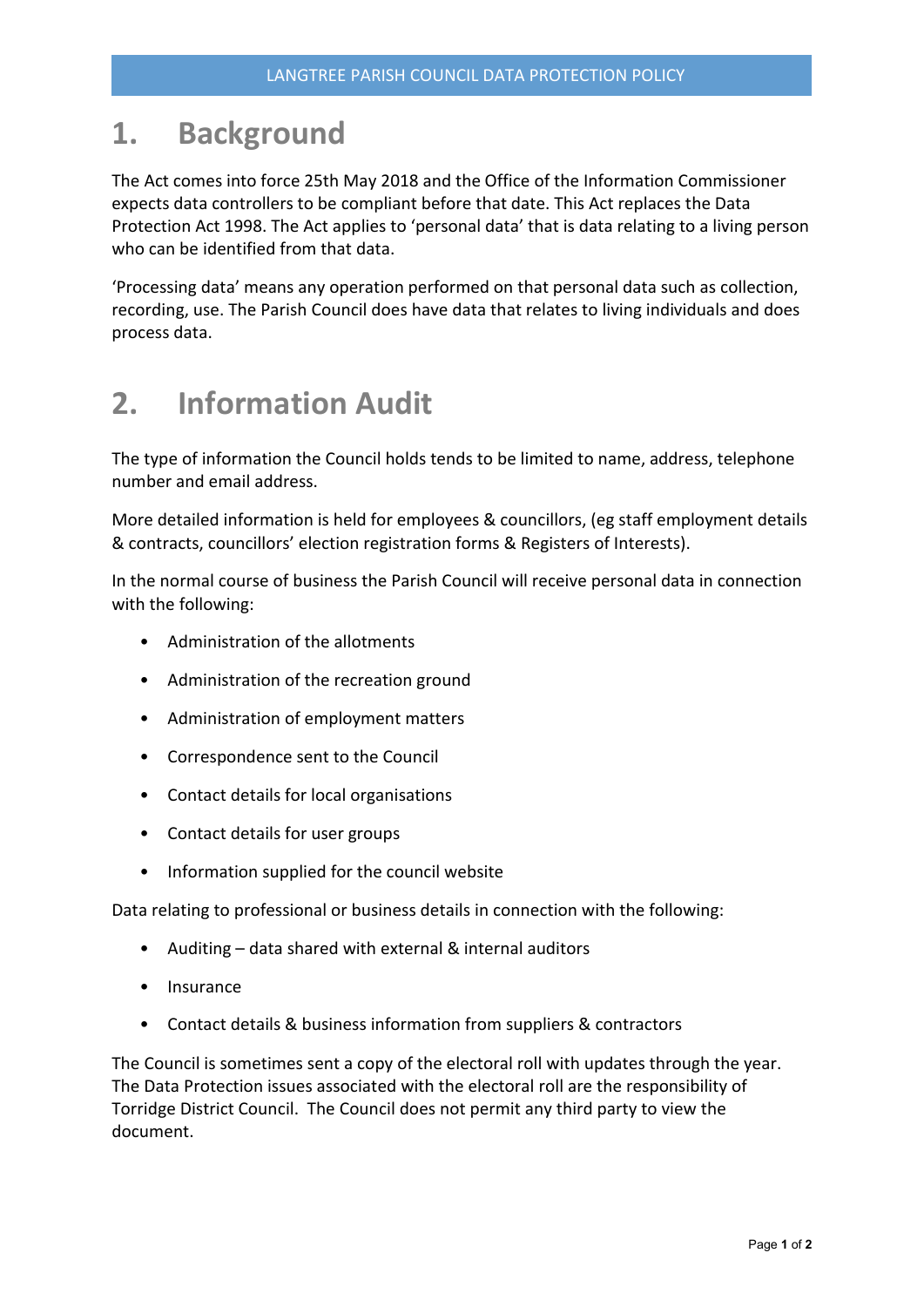## 1. Background

The Act comes into force 25th May 2018 and the Office of the Information Commissioner expects data controllers to be compliant before that date. This Act replaces the Data Protection Act 1998. The Act applies to 'personal data' that is data relating to a living person who can be identified from that data.

'Processing data' means any operation performed on that personal data such as collection, recording, use. The Parish Council does have data that relates to living individuals and does process data.

#### 2. Information Audit

The type of information the Council holds tends to be limited to name, address, telephone number and email address.

More detailed information is held for employees & councillors, (eg staff employment details & contracts, councillors' election registration forms & Registers of Interests).

In the normal course of business the Parish Council will receive personal data in connection with the following:

- Administration of the allotments
- Administration of the recreation ground
- Administration of employment matters
- Correspondence sent to the Council
- Contact details for local organisations
- Contact details for user groups
- Information supplied for the council website

Data relating to professional or business details in connection with the following:

- Auditing data shared with external & internal auditors
- **Insurance**
- Contact details & business information from suppliers & contractors

The Council is sometimes sent a copy of the electoral roll with updates through the year. The Data Protection issues associated with the electoral roll are the responsibility of Torridge District Council. The Council does not permit any third party to view the document.